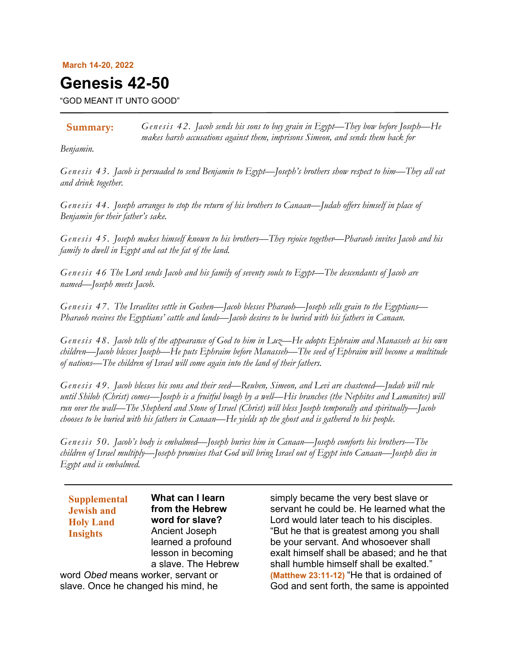#### **March 14-20, 2022**

# **Genesis 42-50**

"GOD MEANT IT UNTO GOOD"

*Genesis 42. Jacob sends his sons to buy grain in Egypt—They bow before Joseph—He makes harsh accusations against them, imprisons Simeon, and sends them back for*  **Summary:**

*Benjamin.*

*Genesis 43. Jacob is persuaded to send Benjamin to Egypt—Joseph's brothers show respect to him—They all eat and drink together.*

*Genesis 44. Joseph arranges to stop the return of his brothers to Canaan—Judah offers himself in place of Benjamin for their father's sake.*

*Genesis 45. Joseph makes himself known to his brothers—They rejoice together—Pharaoh invites Jacob and his family to dwell in Egypt and eat the fat of the land.*

*Genesis 46 The Lord sends Jacob and his family of seventy souls to Egypt—The descendants of Jacob are named—Joseph meets Jacob.*

*Genesis 47. The Israelites settle in Goshen—Jacob blesses Pharaoh—Joseph sells grain to the Egyptians— Pharaoh receives the Egyptians' cattle and lands—Jacob desires to be buried with his fathers in Canaan.*

*Genesis 48. Jacob tells of the appearance of God to him in Luz—He adopts Ephraim and Manasseh as his own children—Jacob blesses Joseph—He puts Ephraim before Manasseh—The seed of Ephraim will become a multitude of nations—The children of Israel will come again into the land of their fathers.*

*Genesis 49. Jacob blesses his sons and their seed—Reuben, Simeon, and Levi are chastened—Judah will rule until Shiloh (Christ) comes—Joseph is a fruitful bough by a well—His branches (the Nephites and Lamanites) will run over the wall—The Shepherd and Stone of Israel (Christ) will bless Joseph temporally and spiritually—Jacob chooses to be buried with his fathers in Canaan—He yields up the ghost and is gathered to his people.*

*Genesis 50. Jacob's body is embalmed—Joseph buries him in Canaan—Joseph comforts his brothers—The children of Israel multiply—Joseph promises that God will bring Israel out of Egypt into Canaan—Joseph dies in Egypt and is embalmed.*

| <b>Supplemental</b><br><b>Jewish and</b> | What can I learn<br>from the Hebrew |
|------------------------------------------|-------------------------------------|
| <b>Holy Land</b>                         | word for slave?                     |
| <b>Insights</b>                          | Ancient Joseph                      |
|                                          | learned a profound                  |
|                                          | lesson in becoming                  |
|                                          | a slave. The Hebrew                 |
| word Obed means worker, servant or       |                                     |
| slave. Once he changed his mind, he      |                                     |

simply became the very best slave or servant he could be. He learned what the Lord would later teach to his disciples. "But he that is greatest among you shall be your servant. And whosoever shall exalt himself shall be abased; and he that shall humble himself shall be exalted." **(Matthew 23:11-12)** "He that is ordained of God and sent forth, the same is appointed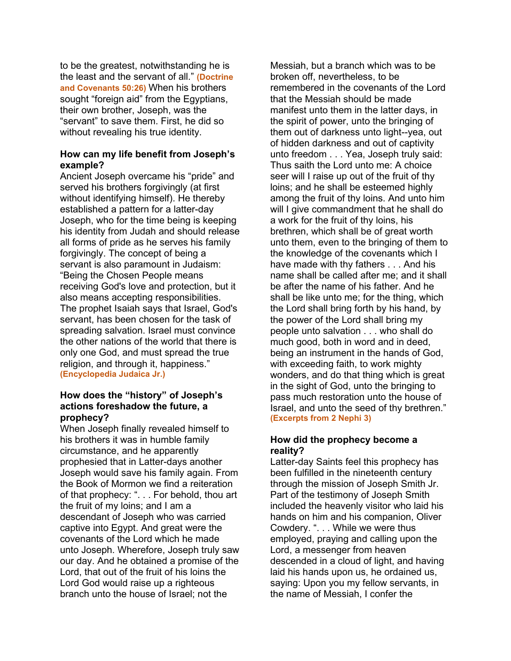to be the greatest, notwithstanding he is the least and the servant of all." **(Doctrine and Covenants 50:26)** When his brothers sought "foreign aid" from the Egyptians, their own brother, Joseph, was the "servant" to save them. First, he did so without revealing his true identity.

## **How can my life benefit from Joseph's example?**

Ancient Joseph overcame his "pride" and served his brothers forgivingly (at first without identifying himself). He thereby established a pattern for a latter-day Joseph, who for the time being is keeping his identity from Judah and should release all forms of pride as he serves his family forgivingly. The concept of being a servant is also paramount in Judaism: "Being the Chosen People means receiving God's love and protection, but it also means accepting responsibilities. The prophet Isaiah says that Israel, God's servant, has been chosen for the task of spreading salvation. Israel must convince the other nations of the world that there is only one God, and must spread the true religion, and through it, happiness." **(Encyclopedia Judaica Jr.)**

# **How does the "history" of Joseph's actions foreshadow the future, a prophecy?**

When Joseph finally revealed himself to his brothers it was in humble family circumstance, and he apparently prophesied that in Latter-days another Joseph would save his family again. From the Book of Mormon we find a reiteration of that prophecy: ". . . For behold, thou art the fruit of my loins; and I am a descendant of Joseph who was carried captive into Egypt. And great were the covenants of the Lord which he made unto Joseph. Wherefore, Joseph truly saw our day. And he obtained a promise of the Lord, that out of the fruit of his loins the Lord God would raise up a righteous branch unto the house of Israel; not the

Messiah, but a branch which was to be broken off, nevertheless, to be remembered in the covenants of the Lord that the Messiah should be made manifest unto them in the latter days, in the spirit of power, unto the bringing of them out of darkness unto light--yea, out of hidden darkness and out of captivity unto freedom . . . Yea, Joseph truly said: Thus saith the Lord unto me: A choice seer will I raise up out of the fruit of thy loins; and he shall be esteemed highly among the fruit of thy loins. And unto him will I give commandment that he shall do a work for the fruit of thy loins, his brethren, which shall be of great worth unto them, even to the bringing of them to the knowledge of the covenants which I have made with thy fathers . . . And his name shall be called after me; and it shall be after the name of his father. And he shall be like unto me; for the thing, which the Lord shall bring forth by his hand, by the power of the Lord shall bring my people unto salvation . . . who shall do much good, both in word and in deed, being an instrument in the hands of God, with exceeding faith, to work mighty wonders, and do that thing which is great in the sight of God, unto the bringing to pass much restoration unto the house of Israel, and unto the seed of thy brethren." **(Excerpts from 2 Nephi 3)**

# **How did the prophecy become a reality?**

Latter-day Saints feel this prophecy has been fulfilled in the nineteenth century through the mission of Joseph Smith Jr. Part of the testimony of Joseph Smith included the heavenly visitor who laid his hands on him and his companion, Oliver Cowdery. ". . . While we were thus employed, praying and calling upon the Lord, a messenger from heaven descended in a cloud of light, and having laid his hands upon us, he ordained us, saying: Upon you my fellow servants, in the name of Messiah, I confer the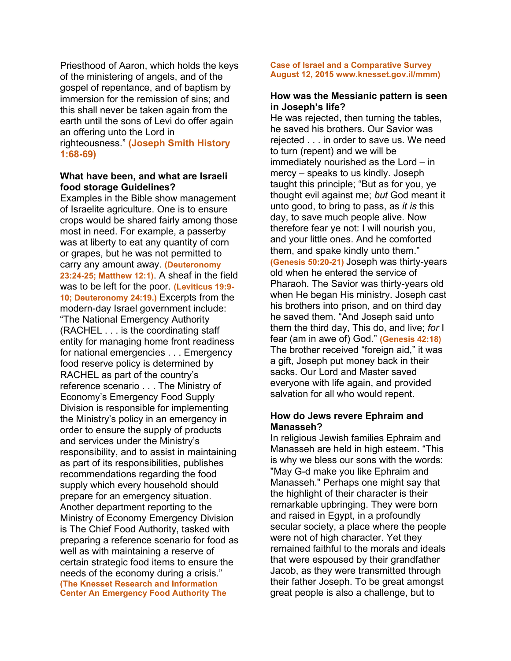Priesthood of Aaron, which holds the keys of the ministering of angels, and of the gospel of repentance, and of baptism by immersion for the remission of sins; and this shall never be taken again from the earth until the sons of Levi do offer again an offering unto the Lord in righteousness." **(Joseph Smith History 1:68-69)**

#### **What have been, and what are Israeli food storage Guidelines?**

Examples in the Bible show management of Israelite agriculture. One is to ensure crops would be shared fairly among those most in need. For example, a passerby was at liberty to eat any quantity of corn or grapes, but he was not permitted to carry any amount away. **(Deuteronomy 23:24-25; Matthew 12:1)**. A sheaf in the field was to be left for the poor. **(Leviticus 19:9- 10; Deuteronomy 24:19.)** Excerpts from the modern-day Israel government include: "The National Emergency Authority (RACHEL . . . is the coordinating staff entity for managing home front readiness for national emergencies . . . Emergency food reserve policy is determined by RACHEL as part of the country's reference scenario . . . The Ministry of Economy's Emergency Food Supply Division is responsible for implementing the Ministry's policy in an emergency in order to ensure the supply of products and services under the Ministry's responsibility, and to assist in maintaining as part of its responsibilities, publishes recommendations regarding the food supply which every household should prepare for an emergency situation. Another department reporting to the Ministry of Economy Emergency Division is The Chief Food Authority, tasked with preparing a reference scenario for food as well as with maintaining a reserve of certain strategic food items to ensure the needs of the economy during a crisis." **(The Knesset Research and Information Center An Emergency Food Authority The** 

#### **Case of Israel and a Comparative Survey August 12, 2015 www.knesset.gov.il/mmm)**

### **How was the Messianic pattern is seen in Joseph's life?**

He was rejected, then turning the tables, he saved his brothers. Our Savior was rejected . . . in order to save us. We need to turn (repent) and we will be immediately nourished as the Lord – in mercy – speaks to us kindly. Joseph taught this principle; "But as for you, ye thought evil against me; *but* God meant it unto good, to bring to pass, as *it is* this day, to save much people alive. Now therefore fear ye not: I will nourish you, and your little ones. And he comforted them, and spake kindly unto them." **(Genesis 50:20-21)** Joseph was thirty-years old when he entered the service of Pharaoh. The Savior was thirty-years old when He began His ministry. Joseph cast his brothers into prison, and on third day he saved them. "And Joseph said unto them the third day, This do, and live; *for* I fear (am in awe of) God." **(Genesis 42:18)** The brother received "foreign aid," it was a gift, Joseph put money back in their sacks. Our Lord and Master saved everyone with life again, and provided salvation for all who would repent.

# **How do Jews revere Ephraim and Manasseh?**

In religious Jewish families Ephraim and Manasseh are held in high esteem. "This is why we bless our sons with the words: "May G-d make you like Ephraim and Manasseh." Perhaps one might say that the highlight of their character is their remarkable upbringing. They were born and raised in Egypt, in a profoundly secular society, a place where the people were not of high character. Yet they remained faithful to the morals and ideals that were espoused by their grandfather Jacob, as they were transmitted through their father Joseph. To be great amongst great people is also a challenge, but to